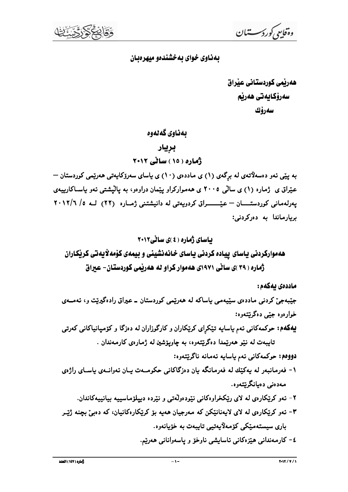$\lambda$ 

## به تاوی خوای به خشندهو میهرهبان

هەريمى كوردستانى عيراق وة *كابت<sub>ى</sub> كوركسستتا*نى عيراق<br>به دنيا كوردستانى عيراق<br>سەرؤكـايەتى ھەريبم<br>بەن كابەر كى سەرۋك<br>سەرتى كىبو دەسەلآتـەي له ىرگەي<br>دە مىتى ئىمو دەسەلآتـەي له ىرگەي (1) ي ماددەي (1) ي باس<br>بە مىتى ئىمو دەسەلآتـەي له ىرگەي (1) ي ما سەرۇكايەتى ھەرپم سەرۈك

بەناوى گەلەوە

بريار

ژماره ( ۱۵ ) سالی ۲۰۱۲

به ييّمي ئەو دەسەلاتەي لە برگەي (١) ي ماددەي (١٠) ي ياساي سەرۆكاپەتى ھەرپىمى كوردستان — عیّراق ی ژماره (۱) ی سالی ۲۰۰۵ ی ههموارکراو پیّمان دراوهو، به پالیشتی نهو پاسـاکارییهی 88. يەرلەمانى كوردستــــــان – عيّـــــــــراق كردويەتى لە دانيشتنى ژمــارە (٢٢) لــه ٥/ ٢٠١٢/٦ بریارماندا به دهرکردنی: ندان ( ۱۰) ق یاسان سازون یاسی سازونیان سازمان<br>ممرارکرار پیّمان دراوهو، به پالّپشتی نهر یاساکارییهی<br>دریهتی له دانیشتنی ژمــاره (۲۲) لــه ۵/ ۲۰۱۲/۱<br>سای خانهنشینی و بیههای کوّههایی این کلی کاران<br>مهوار گراو له ههریّمی کوردستا

یاسای ژماره ( ٤ )ی سالۍ۲۰۱۲

ههموارگردنی یاسای پیاده کردنی یاسای خانهنشینی و بیمهی کومهلایهتی کریکاران ژماره ( ۳۹ )ی سالی ۱۹۷۱ی ههموار گراو له ههریمی گوردستان– عیراق

ماددەى يەكەم :

جێبهجیٌ کردنی ماددهی سێپهمی پاساکه له ههرێمی کوردستان ــ عیراق رادهگیرێت و، ئـهمــهی خوارهوه جێبې دهگرېټتهوه:

**بیهکهم: حوکمهکانی ئهم یاسایه تینکرای کریکاران و کارگوزاران له دهزگا و کۆمیانیاکانی کهرتی** تايبهت له نێو هەرێمدا دەگرێتەوە، بە چاوپۆشين له ژمارەي كارمەندان .

<mark>دووهم: حركمهكاني ئهم بإسابيه ئهمانه ناگريتن</mark>موه:

۱- فهرمانبهر له یهکیّك له فهرمانگه یان دهزگاكانی حكومـهت یـان ئهوانــهی یاسـای راژهی مەدەنى دەيانگرېتتەوە.

8- ئەو كرتيكارەي لە لاي رتيكخراوەكانى نتودەولەتى و نتردە دېيلۆماسىييە بيانيييەكاندان.

- = ئەو كرتكارەي لە لاي لايەنانتكى كە مەرجيان ھەيە بۆ كرتكارەكانيان، كە دەبى بچنە ژتير = باری سیستهمیکی کۆمەلايەتیی تايبەت بە خۆيانەوە.
	- ٤ كارمەندانى ھێزەكانى ئاسايشى ناوخۆ و پاسەوانانى ھەرێم.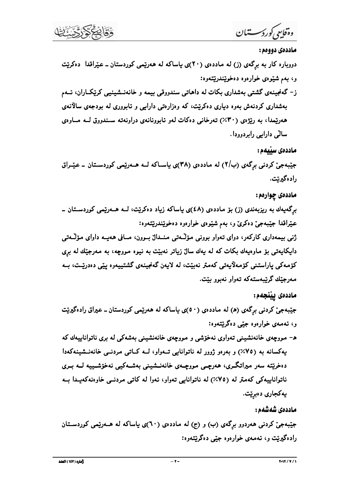وەقايىي كوردىسستان

ماددەي دووەم :

دووباره کار به برگەی (ز) له ماددەی (۲۰)ی یاساکه له هەرپیمی کوردستان ــ عیراقدا دەکریت و، بهم شنيوهي خوارهوه دهخوينندريتنهوه:

ز- گەنجینەی گشتی بەشداری بکات لە داھاتی سندووقی بیمه و خانەنــشینیی کرێکــاران، ئــەم بهشداری کردنهش بهوه دیاری دهکریت، که وهزارهتی دارایی و نابووری له بودجهی سالانهی ههرییمدا، به ریژهی (۳۰٪) تهرخانی دهکات لهو نابوونانهی دراونهته سـندووق لــه مــاوهی سالی دارایی رابردوودا.

ماددەى سىلەم :

جیْبهجیؒ کردنی برگەی (ب/۲) له ماددەی (۳۸)ی یاســاکه لــه هــهریمی کوردســتان ــ عیّــراق رادهگیریت.

ماددهي چوارهم:

برگەيەك بە ريزبەندى (ز) بۆ ماددەى (٤٨)ى ياساكە زياد دەكريت، لــه ھــەريمىي كوردســتان ــ عیراقدا جیبهجی دهکری و، بهم شیوهی خوارهوه دهخویندریتهوه: ژنی بیمهداری کارکەر، دوای تەواو بوونی مۆٽەتی منــدالٌ بــوون، مــافی هەپــه داوای مۆٽــەتی دایکایهتی بۆ ماوەیەك بکات که له یەك سالٌ زیاتر نەبیّت به نیوه مووچه، به مەرجیّك له بری كۆمەكى پاراستنى كۆمەلايەتى كەمتر نەبيت، لە لايەن گەنجينەي گشتييەوە ييپى دەدريت، بــە

> مەرجنك گرتيەستەكە تەواو نەبوو ينت. ماددەى يېنجەم:

جیْبِهجیؒ کردنبی برگەی (ه) له ماددەی (٥٠)ی یاساکه له هەرپیمی کوردستان ــ عیراق رادەگیری٘ت و، ئەمەي خوارەوە جێې دەگرېتتەوە:

ه- مووچهی خانهنشینی تهواوی نهخوشی و مووچهی خانهنشینی بهشهکی له بری ناتواناییهك كه يەكسانە بە (٧٥٪) و بەرەو ژوور لە ناتوانايى تــەواو، لــە كــاتى مردنــى خانەنــشينـەكەدا دەخرىتتە سەر مېراتگىرى، ھەرچىي مووچىەي خانەنىشىنى بەشــەكيىي نەخۆشــىييە لــە بــرى ناتواناییەکی کەمتر لە (٧٥٪) لە ناتوانایی تەواو، ئەوا لە کاتی مردنـی خاوەنەکەيـدا بــە يەكجارى دەبريت.

ماددەى شەشەم :

جینبهجی کردنبی ههردوو برگهی (ب) و (ج) له ماددهی (۲۰)ی پاساکه له هـمرییمی کوردسـتان رادهگیریت و، ئـهمـهي خوارهوه جێبي دهگریتتهوه: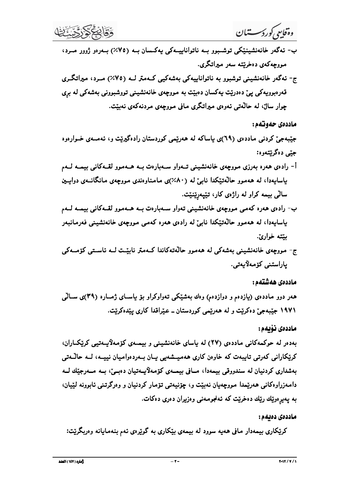وەقايىي كوردىسىتىان

- ب- ئەگەر خانەنشينێكى توشىبوو بــە ناتواناييــەكى يەكـسان بــە (٧٥%) بــەرەو ژوور مــرد، مووچهکهي دهخريته سهر ميراتگري.
- ج- ئەگەر خانەنشينى توشبوو بە ناتواناييەكى بەشەكيىي كـەمتر لــە (٧٥٪) مــرد، مېراتگـرى قەرەبوويەكى يې دەدريت يەكسان دەبيّت بە مووچەي خانەنشينى تووشبوونى بەشەكى لە برى چوار سالٌ، له حالَّهتي ئـهوهي ميراتگري مـافي مـووچهي مـردنهکهي نـهبيّت.

ماددەي حەوتەم:

جنبهجین کردنی ماددهی (٦٩)ی باساکه له ههریمی کوردستان رادهگیریت و، ئهمــهی خــوارهوه جٽي دهگرنٽهوه:

- أ- رادەي ھەرە بەرزى مووچەي خانەنشينى تــەواو ســەبارەت بــە ھــەموو لقــەكانى بيمــە لــەم پاسایـهدا، لـه هـهمـوو حالّـهـتینِکدا نـابـیٌ لـه (۸۰٪)ی مـامـنـاوهندی مـووچـهـی مـانگانـــهـی دواپــین سالٽي بيمه کراو له راژهي کار، تێيەرێنێت.
- ب- رادهی هدره کهمی مووچهی خانهنشینی تهواو سـهبارهت بـه هـهموو لقـهکانی بیمـه لـهم پاسایهدا، له ههموو حالَّهتیکدا نابیٌ له رادهی ههره کهمی مووجهی خانهنشینی فهرمانبهر ىتتە خوارىٰ.
- ج- مووچهي خانەنشيني بەشەكى لە ھەموو حالەتەكاندا كـەمتر نابيّـت لــە ئاســتى كۆمــەكى ياراستنى كۆمەلايەتى.

ماددەى ھەشتەم:

ههر دوو ماددهی (یازدهم و دوازدهم) وهك بهشیّکی تهواوكراو بوّ بیاســای ژمــاره (۳۹)ی ســالّی ۱۹۷۱ جێبهجیؒ دهکریت و له ههریمی کوردستان ــ عیراقدا کاری پیدهکریت.

ماددەى نۆيەم :

بهدهر له حوکمهکانی ماددهی (۲۷) له پاسای خانهنشینی و بیمـهی کۆمـهلایــهتیبی کریکـاران، کریکارانی کەرتی تايبەت کە خاوەن کاری ھەمپىشەيى يـان بــەردەواميان نييــە، لــە حالـْـەتى بهشداری کردنیان له سندووقی بیمهدا، مـافی بیمـهی کۆمـهلاّیــهتیان دهبـیّ، بــه مــهرجیّك لــه دامهزراوهکانی ههریمدا مووجهیان نهبیت و، چۆنیەتی تۆمار کردنیان و وهرگرتنی ئابوونه لیپیان، به پهيږهونيك ريك دهخريت كه ئمغجوممنى وهزيران دهرى دهكات.

ماددەى دەيەم :

کریکاری بیمهدار مافی ههیه سوود له بیمهی بیکاری به گویرهی ئهم بنهمایانه وهربگریت: